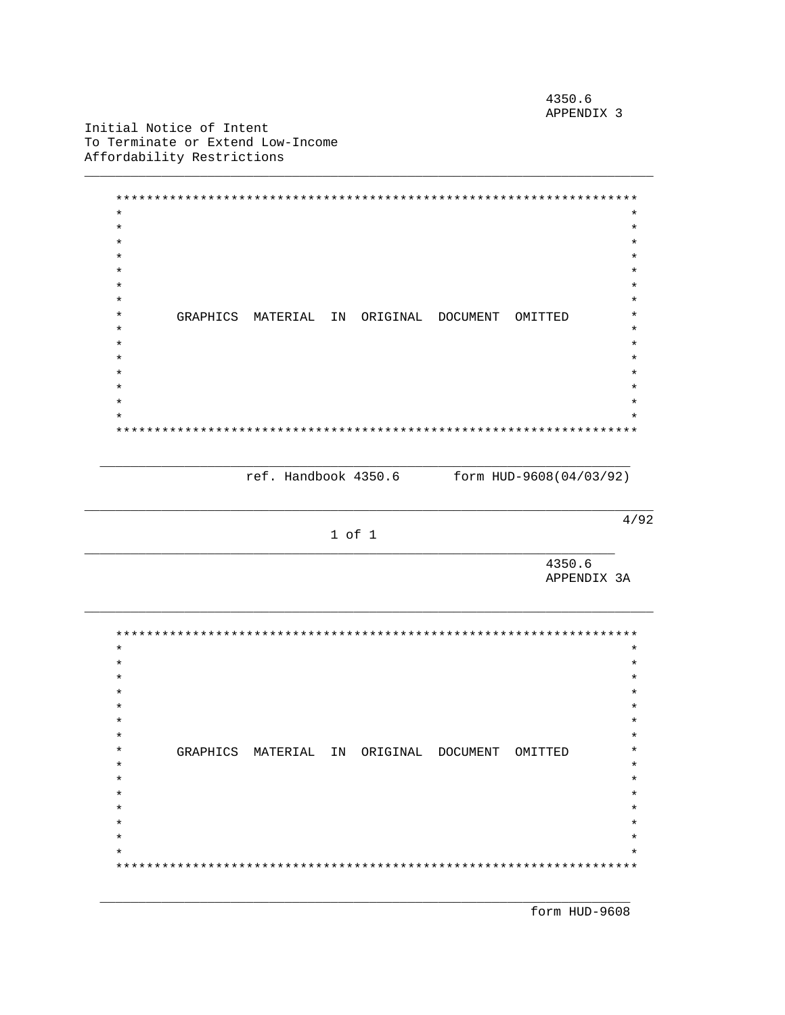4350.6 APPENDIX 3

Initial Notice of Intent To Terminate or Extend Low-Income Affordability Restrictions

\*\*\*\*\*\*\*\*\*\*\*\*\*\*\*  $\star$  $\star$  $\star$  $\star$  $\star$  $\star$  $\star$  $\star$  $\star$  $\star$  $\star$ GRAPHICS MATERIAL IN ORIGINAL DOCUMENT OMITTED  $\star$  $\star$  $\ddot{\phantom{0}}$  $\star$ 

ref. Handbook 4350.6 form HUD-9608(04/03/92)

 $4/92$ 

1 of 1

4350.6 APPENDIX 3A

 $\star$  $\star$  $\star$  $\star$  $\ast$  $\star$  $\star$  $\star$  $\star$  $\star$ GRAPHICS MATERIAL IN ORIGINAL DOCUMENT OMITTED  $\star$  $\star$  $\star$  $\star$  $\ddot{\phantom{0}}$  $\ddot{\textbf{r}}$  $\star$  $\star$  $\star$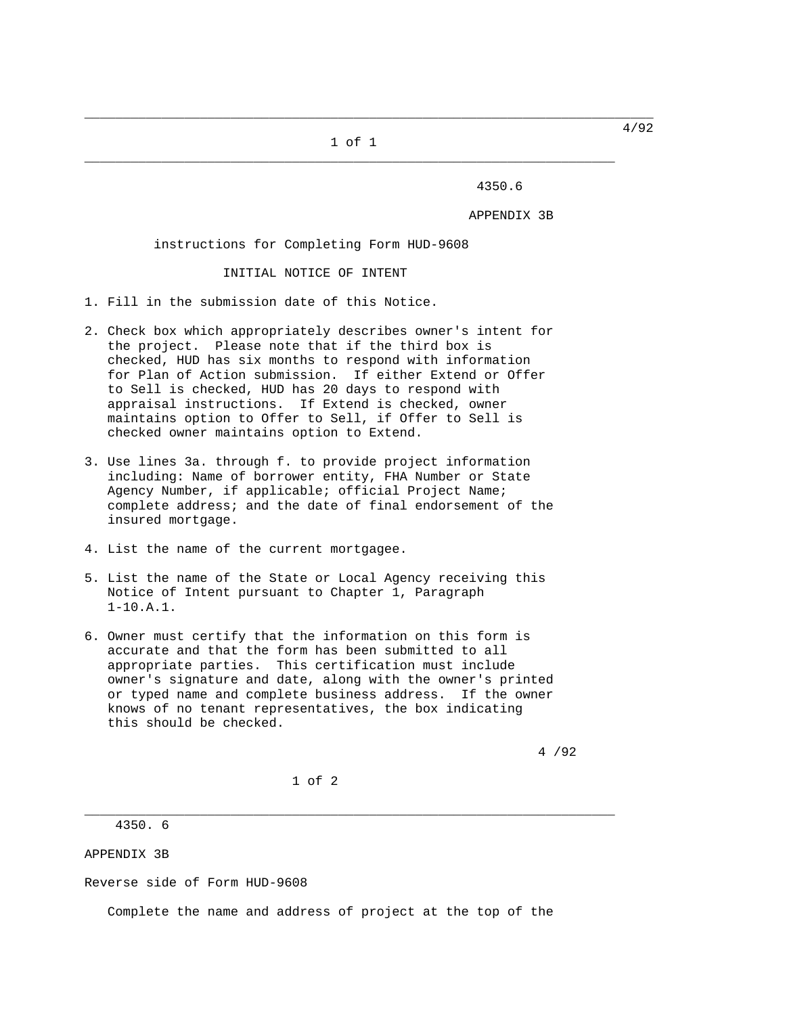1 of 1 \_\_\_\_\_\_\_\_\_\_\_\_\_\_\_\_\_\_\_\_\_\_\_\_\_\_\_\_\_\_\_\_\_\_\_\_\_\_\_\_\_\_\_\_\_\_\_\_\_\_\_\_\_\_\_\_\_\_\_\_\_\_\_\_\_\_\_\_\_

\_\_\_\_\_\_\_\_\_\_\_\_\_\_\_\_\_\_\_\_\_\_\_\_\_\_\_\_\_\_\_\_\_\_\_\_\_\_\_\_\_\_\_\_\_\_\_\_\_\_\_\_\_\_\_\_\_\_\_\_\_\_\_\_\_\_\_\_\_\_\_\_\_\_

4350.6

APPENDIX 3B

instructions for Completing Form HUD-9608

INITIAL NOTICE OF INTENT

- 1. Fill in the submission date of this Notice.
- 2. Check box which appropriately describes owner's intent for the project. Please note that if the third box is checked, HUD has six months to respond with information for Plan of Action submission. If either Extend or Offer to Sell is checked, HUD has 20 days to respond with appraisal instructions. If Extend is checked, owner maintains option to Offer to Sell, if Offer to Sell is checked owner maintains option to Extend.
- 3. Use lines 3a. through f. to provide project information including: Name of borrower entity, FHA Number or State Agency Number, if applicable; official Project Name; complete address; and the date of final endorsement of the insured mortgage.
- 4. List the name of the current mortgagee.
- 5. List the name of the State or Local Agency receiving this Notice of Intent pursuant to Chapter 1, Paragraph 1-10.A.1.
- 6. Owner must certify that the information on this form is accurate and that the form has been submitted to all appropriate parties. This certification must include owner's signature and date, along with the owner's printed or typed name and complete business address. If the owner knows of no tenant representatives, the box indicating this should be checked.

4 /92

1 of 2

\_\_\_\_\_\_\_\_\_\_\_\_\_\_\_\_\_\_\_\_\_\_\_\_\_\_\_\_\_\_\_\_\_\_\_\_\_\_\_\_\_\_\_\_\_\_\_\_\_\_\_\_\_\_\_\_\_\_\_\_\_\_\_\_\_\_\_\_\_

4350. 6

APPENDIX 3B

Reverse side of Form HUD-9608

Complete the name and address of project at the top of the